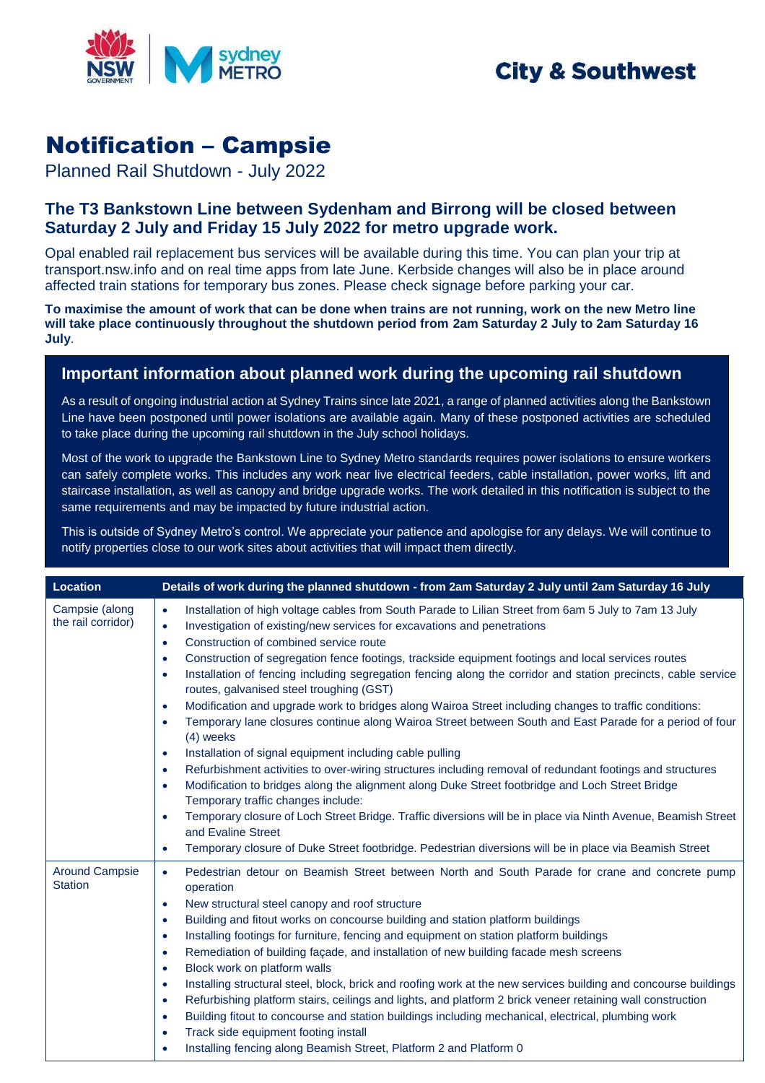

## **City & Southwest**

# Notification – Campsie

Planned Rail Shutdown - July 2022

### **The T3 Bankstown Line between Sydenham and Birrong will be closed between Saturday 2 July and Friday 15 July 2022 for metro upgrade work.**

Opal enabled rail replacement bus services will be available during this time. You can plan your trip at transport.nsw.info and on real time apps from late June. Kerbside changes will also be in place around affected train stations for temporary bus zones. Please check signage before parking your car.

**To maximise the amount of work that can be done when trains are not running, work on the new Metro line will take place continuously throughout the shutdown period from 2am Saturday 2 July to 2am Saturday 16 July**.

### **Important information about planned work during the upcoming rail shutdown**

As a result of ongoing industrial action at Sydney Trains since late 2021, a range of planned activities along the Bankstown Line have been postponed until power isolations are available again. Many of these postponed activities are scheduled to take place during the upcoming rail shutdown in the July school holidays.

Most of the work to upgrade the Bankstown Line to Sydney Metro standards requires power isolations to ensure workers can safely complete works. This includes any work near live electrical feeders, cable installation, power works, lift and staircase installation, as well as canopy and bridge upgrade works. The work detailed in this notification is subject to the same requirements and may be impacted by future industrial action.

This is outside of Sydney Metro's control. We appreciate your patience and apologise for any delays. We will continue to notify properties close to our work sites about activities that will impact them directly.

| <b>Location</b>                         | Details of work during the planned shutdown - from 2am Saturday 2 July until 2am Saturday 16 July                                                                                                                                                                                                                                                                                                                                                                                                                                                                                                                                                                                                                                                                                                                                                                                                                                                                                                                                                                                                                                                                                                                                                                                                                                                                                                                                                               |
|-----------------------------------------|-----------------------------------------------------------------------------------------------------------------------------------------------------------------------------------------------------------------------------------------------------------------------------------------------------------------------------------------------------------------------------------------------------------------------------------------------------------------------------------------------------------------------------------------------------------------------------------------------------------------------------------------------------------------------------------------------------------------------------------------------------------------------------------------------------------------------------------------------------------------------------------------------------------------------------------------------------------------------------------------------------------------------------------------------------------------------------------------------------------------------------------------------------------------------------------------------------------------------------------------------------------------------------------------------------------------------------------------------------------------------------------------------------------------------------------------------------------------|
| Campsie (along<br>the rail corridor)    | Installation of high voltage cables from South Parade to Lilian Street from 6am 5 July to 7am 13 July<br>$\bullet$<br>Investigation of existing/new services for excavations and penetrations<br>$\bullet$<br>Construction of combined service route<br>$\bullet$<br>Construction of segregation fence footings, trackside equipment footings and local services routes<br>$\bullet$<br>Installation of fencing including segregation fencing along the corridor and station precincts, cable service<br>$\bullet$<br>routes, galvanised steel troughing (GST)<br>Modification and upgrade work to bridges along Wairoa Street including changes to traffic conditions:<br>$\bullet$<br>Temporary lane closures continue along Wairoa Street between South and East Parade for a period of four<br>$\bullet$<br>$(4)$ weeks<br>Installation of signal equipment including cable pulling<br>$\bullet$<br>Refurbishment activities to over-wiring structures including removal of redundant footings and structures<br>$\bullet$<br>Modification to bridges along the alignment along Duke Street footbridge and Loch Street Bridge<br>$\bullet$<br>Temporary traffic changes include:<br>Temporary closure of Loch Street Bridge. Traffic diversions will be in place via Ninth Avenue, Beamish Street<br>$\bullet$<br>and Evaline Street<br>Temporary closure of Duke Street footbridge. Pedestrian diversions will be in place via Beamish Street<br>$\bullet$ |
| <b>Around Campsie</b><br><b>Station</b> | Pedestrian detour on Beamish Street between North and South Parade for crane and concrete pump<br>$\bullet$<br>operation<br>New structural steel canopy and roof structure<br>$\bullet$<br>Building and fitout works on concourse building and station platform buildings<br>$\bullet$<br>Installing footings for furniture, fencing and equipment on station platform buildings<br>$\bullet$<br>Remediation of building façade, and installation of new building facade mesh screens<br>$\bullet$<br>Block work on platform walls<br>$\bullet$<br>Installing structural steel, block, brick and roofing work at the new services building and concourse buildings<br>$\bullet$<br>Refurbishing platform stairs, ceilings and lights, and platform 2 brick veneer retaining wall construction<br>$\bullet$<br>Building fitout to concourse and station buildings including mechanical, electrical, plumbing work<br>$\bullet$<br>Track side equipment footing install<br>$\bullet$<br>Installing fencing along Beamish Street, Platform 2 and Platform 0                                                                                                                                                                                                                                                                                                                                                                                                        |